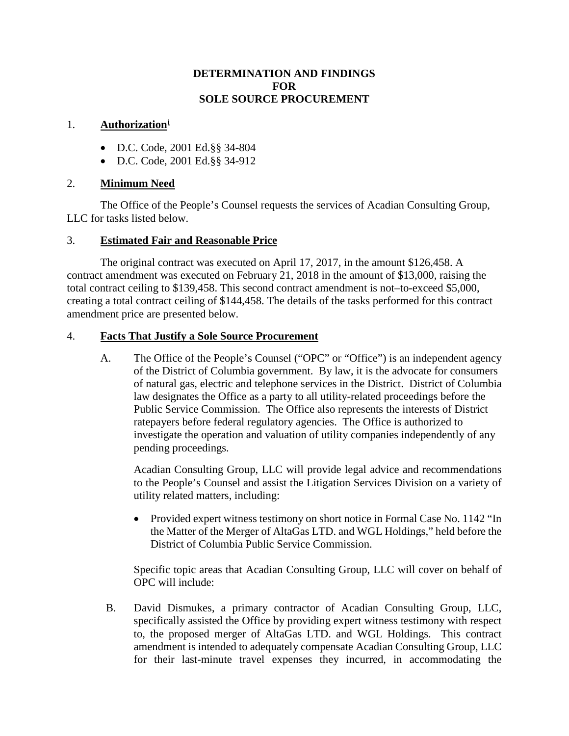#### **DETERMINATION AND FINDINGS FOR SOLE SOURCE PROCUREMENT**

## 1. **Authorization[i](#page-2-0)**

- D.C. Code, 2001 Ed.§§ 34-804
- D.C. Code, 2001 Ed.§§ 34-912

## 2. **Minimum Need**

The Office of the People's Counsel requests the services of Acadian Consulting Group, LLC for tasks listed below.

#### 3. **Estimated Fair and Reasonable Price**

The original contract was executed on April 17, 2017, in the amount \$126,458. A contract amendment was executed on February 21, 2018 in the amount of \$13,000, raising the total contract ceiling to \$139,458. This second contract amendment is not–to-exceed \$5,000, creating a total contract ceiling of \$144,458. The details of the tasks performed for this contract amendment price are presented below.

#### 4. **Facts That Justify a Sole Source Procurement**

A. The Office of the People's Counsel ("OPC" or "Office") is an independent agency of the District of Columbia government. By law, it is the advocate for consumers of natural gas, electric and telephone services in the District. District of Columbia law designates the Office as a party to all utility-related proceedings before the Public Service Commission. The Office also represents the interests of District ratepayers before federal regulatory agencies. The Office is authorized to investigate the operation and valuation of utility companies independently of any pending proceedings.

Acadian Consulting Group, LLC will provide legal advice and recommendations to the People's Counsel and assist the Litigation Services Division on a variety of utility related matters, including:

• Provided expert witness testimony on short notice in Formal Case No. 1142 "In the Matter of the Merger of AltaGas LTD. and WGL Holdings," held before the District of Columbia Public Service Commission.

Specific topic areas that Acadian Consulting Group, LLC will cover on behalf of OPC will include:

B. David Dismukes, a primary contractor of Acadian Consulting Group, LLC, specifically assisted the Office by providing expert witness testimony with respect to, the proposed merger of AltaGas LTD. and WGL Holdings. This contract amendment is intended to adequately compensate Acadian Consulting Group, LLC for their last-minute travel expenses they incurred, in accommodating the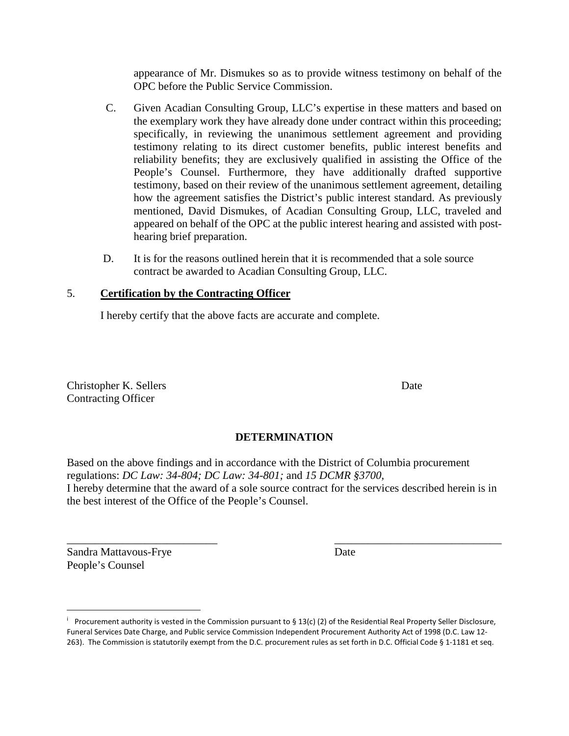appearance of Mr. Dismukes so as to provide witness testimony on behalf of the OPC before the Public Service Commission.

- C. Given Acadian Consulting Group, LLC's expertise in these matters and based on the exemplary work they have already done under contract within this proceeding; specifically, in reviewing the unanimous settlement agreement and providing testimony relating to its direct customer benefits, public interest benefits and reliability benefits; they are exclusively qualified in assisting the Office of the People's Counsel. Furthermore, they have additionally drafted supportive testimony, based on their review of the unanimous settlement agreement, detailing how the agreement satisfies the District's public interest standard. As previously mentioned, David Dismukes, of Acadian Consulting Group, LLC, traveled and appeared on behalf of the OPC at the public interest hearing and assisted with posthearing brief preparation.
- D. It is for the reasons outlined herein that it is recommended that a sole source contract be awarded to Acadian Consulting Group, LLC.

# 5. **Certification by the Contracting Officer**

I hereby certify that the above facts are accurate and complete.

Christopher K. Sellers Date Contracting Officer

# **DETERMINATION**

Based on the above findings and in accordance with the District of Columbia procurement regulations: *DC Law: 34-804; DC Law: 34-801;* and *15 DCMR §3700,* I hereby determine that the award of a sole source contract for the services described herein is in the best interest of the Office of the People's Counsel.

\_\_\_\_\_\_\_\_\_\_\_\_\_\_\_\_\_\_\_\_\_\_\_\_\_\_\_ \_\_\_\_\_\_\_\_\_\_\_\_\_\_\_\_\_\_\_\_\_\_\_\_\_\_\_\_\_\_

Sandra Mattavous-Frye Date People's Counsel

l

<sup>&</sup>lt;sup>i</sup> Procurement authority is vested in the Commission pursuant to § 13(c) (2) of the Residential Real Property Seller Disclosure, Funeral Services Date Charge, and Public service Commission Independent Procurement Authority Act of 1998 (D.C. Law 12- 263). The Commission is statutorily exempt from the D.C. procurement rules as set forth in D.C. Official Code § 1-1181 et seq.